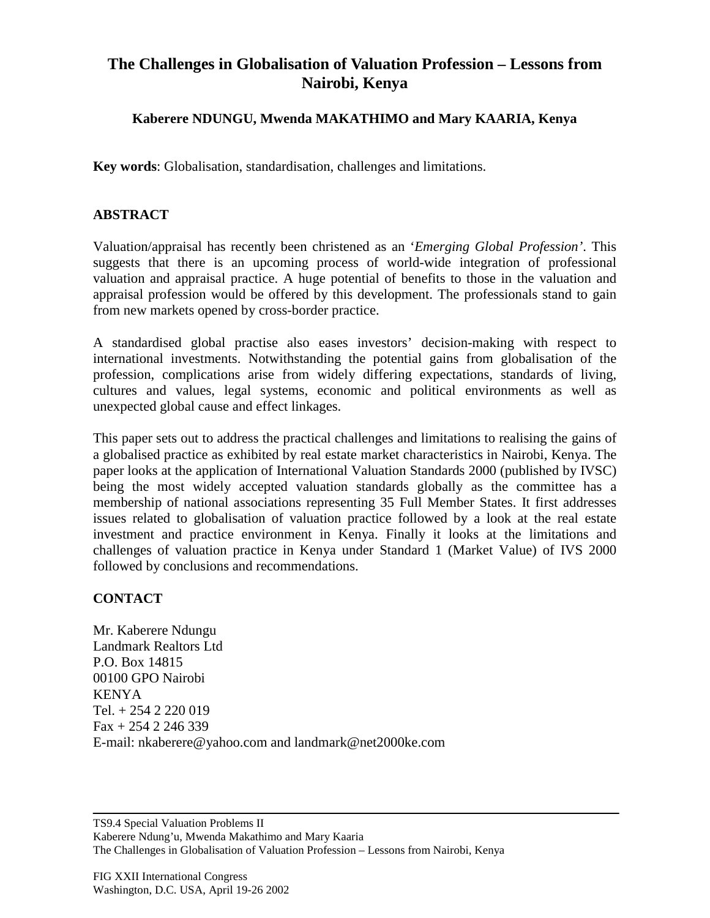## **The Challenges in Globalisation of Valuation Profession – Lessons from Nairobi, Kenya**

## **Kaberere NDUNGU, Mwenda MAKATHIMO and Mary KAARIA, Kenya**

**Key words**: Globalisation, standardisation, challenges and limitations.

## **ABSTRACT**

Valuation/appraisal has recently been christened as an '*Emerging Global Profession'*. This suggests that there is an upcoming process of world-wide integration of professional valuation and appraisal practice. A huge potential of benefits to those in the valuation and appraisal profession would be offered by this development. The professionals stand to gain from new markets opened by cross-border practice.

A standardised global practise also eases investors' decision-making with respect to international investments. Notwithstanding the potential gains from globalisation of the profession, complications arise from widely differing expectations, standards of living, cultures and values, legal systems, economic and political environments as well as unexpected global cause and effect linkages.

This paper sets out to address the practical challenges and limitations to realising the gains of a globalised practice as exhibited by real estate market characteristics in Nairobi, Kenya. The paper looks at the application of International Valuation Standards 2000 (published by IVSC) being the most widely accepted valuation standards globally as the committee has a membership of national associations representing 35 Full Member States. It first addresses issues related to globalisation of valuation practice followed by a look at the real estate investment and practice environment in Kenya. Finally it looks at the limitations and challenges of valuation practice in Kenya under Standard 1 (Market Value) of IVS 2000 followed by conclusions and recommendations.

## **CONTACT**

Mr. Kaberere Ndungu Landmark Realtors Ltd P.O. Box 14815 00100 GPO Nairobi KENYA Tel. + 254 2 220 019 Fax + 254 2 246 339 E-mail: nkaberere@yahoo.com and landmark@net2000ke.com